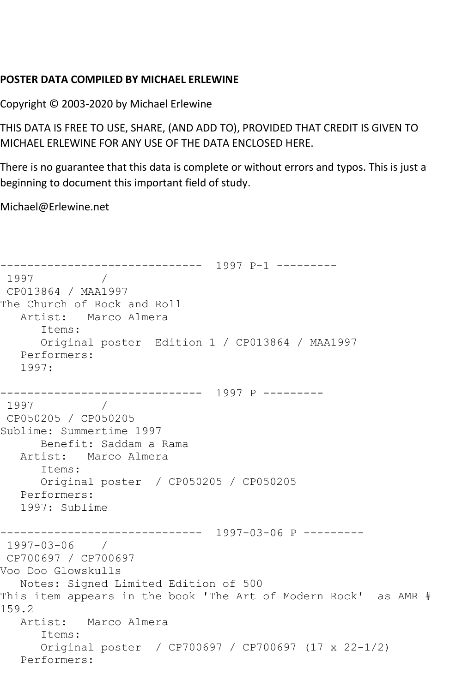## **POSTER DATA COMPILED BY MICHAEL ERLEWINE**

Copyright © 2003-2020 by Michael Erlewine

THIS DATA IS FREE TO USE, SHARE, (AND ADD TO), PROVIDED THAT CREDIT IS GIVEN TO MICHAEL ERLEWINE FOR ANY USE OF THE DATA ENCLOSED HERE.

There is no guarantee that this data is complete or without errors and typos. This is just a beginning to document this important field of study.

Michael@Erlewine.net

------------------------------ 1997 P-1 --------- 1997 / CP013864 / MAA1997 The Church of Rock and Roll Artist: Marco Almera Items: Original poster Edition 1 / CP013864 / MAA1997 Performers: 1997: ------------------------------ 1997 P --------- 1997 / CP050205 / CP050205 Sublime: Summertime 1997 Benefit: Saddam a Rama Artist: Marco Almera Items: Original poster / CP050205 / CP050205 Performers: 1997: Sublime ------------------------------ 1997-03-06 P --------- 1997-03-06 / CP700697 / CP700697 Voo Doo Glowskulls Notes: Signed Limited Edition of 500 This item appears in the book 'The Art of Modern Rock' as AMR # 159.2 Artist: Marco Almera Items: Original poster / CP700697 / CP700697 (17 x 22-1/2) Performers: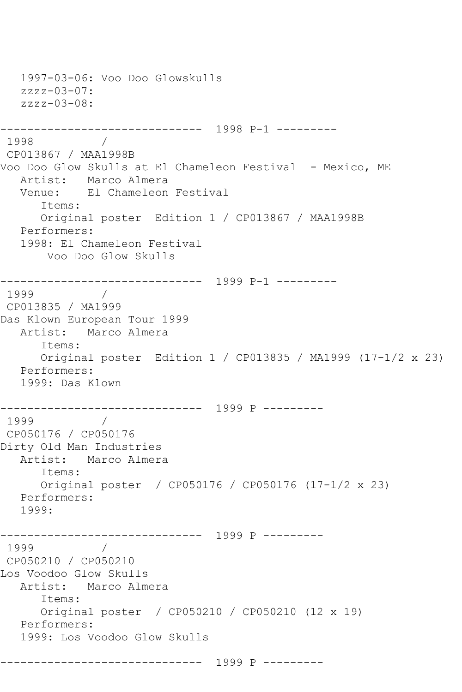1997-03-06: Voo Doo Glowskulls  $zzzz-03-07$ :  $zzzz-03-08$ : ------------------------------ 1998 P-1 --------- 1998 / CP013867 / MAA1998B Voo Doo Glow Skulls at El Chameleon Festival - Mexico, ME Artist: Marco Almera<br>Venue: El Chameleon El Chameleon Festival Items: Original poster Edition 1 / CP013867 / MAA1998B Performers: 1998: El Chameleon Festival Voo Doo Glow Skulls ------------------------------ 1999 P-1 --------- 1999 / CP013835 / MA1999 Das Klown European Tour 1999 Artist: Marco Almera Items: Original poster Edition 1 / CP013835 / MA1999 (17-1/2 x 23) Performers: 1999: Das Klown ------------------------------ 1999 P --------- 1999 / CP050176 / CP050176 Dirty Old Man Industries Artist: Marco Almera Items: Original poster / CP050176 / CP050176 (17-1/2 x 23) Performers: 1999: ------------------------------ 1999 P --------- 1999 / CP050210 / CP050210 Los Voodoo Glow Skulls Artist: Marco Almera Items: Original poster / CP050210 / CP050210 (12 x 19) Performers: 1999: Los Voodoo Glow Skulls ------------------------------ 1999 P ---------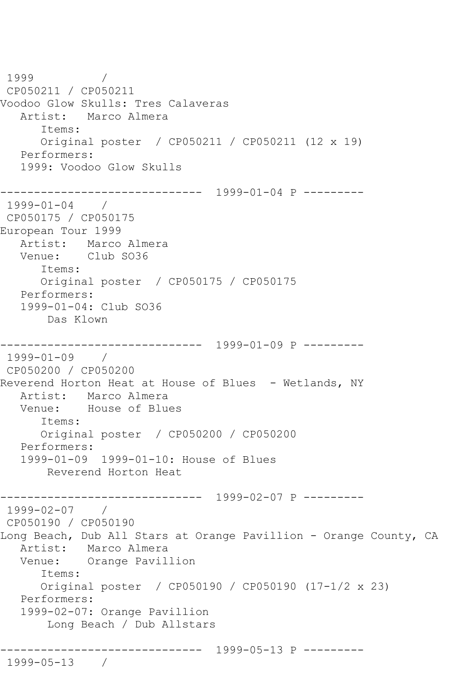1999 / CP050211 / CP050211 Voodoo Glow Skulls: Tres Calaveras Artist: Marco Almera Items: Original poster / CP050211 / CP050211 (12 x 19) Performers: 1999: Voodoo Glow Skulls ------------------------------ 1999-01-04 P --------- 1999-01-04 / CP050175 / CP050175 European Tour 1999 Artist: Marco Almera Venue: Club SO36 Items: Original poster / CP050175 / CP050175 Performers: 1999-01-04: Club SO36 Das Klown ------------------------------ 1999-01-09 P --------- 1999-01-09 / CP050200 / CP050200 Reverend Horton Heat at House of Blues - Wetlands, NY Artist: Marco Almera Venue: House of Blues Items: Original poster / CP050200 / CP050200 Performers: 1999-01-09 1999-01-10: House of Blues Reverend Horton Heat ------------------------------ 1999-02-07 P --------- 1999-02-07 / CP050190 / CP050190 Long Beach, Dub All Stars at Orange Pavillion - Orange County, CA Artist: Marco Almera Venue: Orange Pavillion Items: Original poster / CP050190 / CP050190 (17-1/2 x 23) Performers: 1999-02-07: Orange Pavillion Long Beach / Dub Allstars ------------------------------ 1999-05-13 P --------- 1999-05-13 /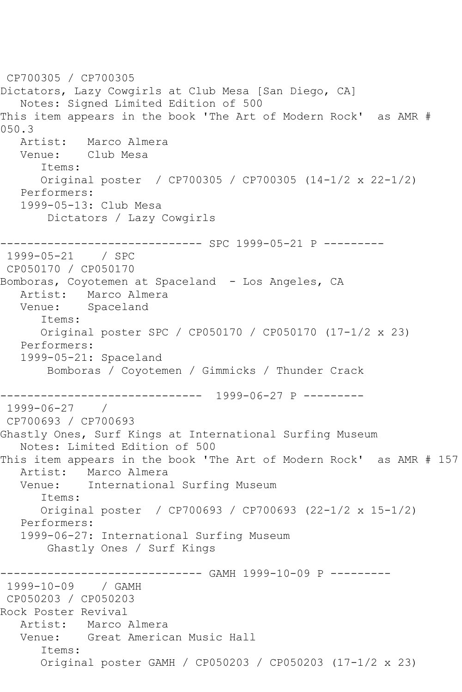CP700305 / CP700305 Dictators, Lazy Cowgirls at Club Mesa [San Diego, CA] Notes: Signed Limited Edition of 500 This item appears in the book 'The Art of Modern Rock' as AMR #  $050.3$ <br>Artist: Marco Almera Venue: Club Mesa Items: Original poster / CP700305 / CP700305 (14-1/2 x 22-1/2) Performers: 1999-05-13: Club Mesa Dictators / Lazy Cowgirls ------------------------------ SPC 1999-05-21 P --------- 1999-05-21 CP050170 / CP050170 Bomboras, Coyotemen at Spaceland - Los Angeles, CA Artist: Marco Almera Venue: Spaceland Items: Original poster SPC / CP050170 / CP050170 (17-1/2 x 23) Performers: 1999-05-21: Spaceland Bomboras / Coyotemen / Gimmicks / Thunder Crack ------------------------------ 1999-06-27 P --------- 1999-06-27 / CP700693 / CP700693 Ghastly Ones, Surf Kings at International Surfing Museum Notes: Limited Edition of 500 This item appears in the book 'The Art of Modern Rock' as AMR # 157 Artist: Marco Almera Venue: International Surfing Museum Items: Original poster / CP700693 / CP700693 (22-1/2 x 15-1/2) Performers: 1999-06-27: International Surfing Museum Ghastly Ones / Surf Kings ------------------------------ GAMH 1999-10-09 P --------- 1999-10-09 / GAMH CP050203 / CP050203 Rock Poster Revival Artist: Marco Almera Venue: Great American Music Hall Items: Original poster GAMH / CP050203 / CP050203 (17-1/2 x 23)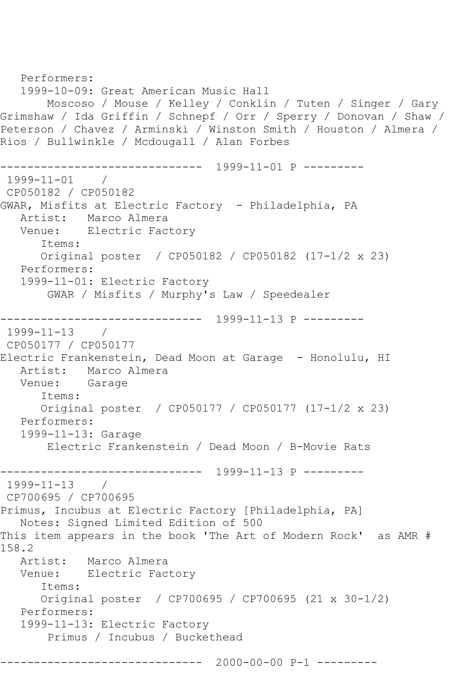```
 Performers:
    1999-10-09: Great American Music Hall
        Moscoso / Mouse / Kelley / Conklin / Tuten / Singer / Gary 
Grimshaw / Ida Griffin / Schnepf / Orr / Sperry / Donovan / Shaw / 
Peterson / Chavez / Arminski / Winston Smith / Houston / Almera / 
Rios / Bullwinkle / Mcdougall / Alan Forbes
------------------------------ 1999-11-01 P ---------
1999-11-01 / 
CP050182 / CP050182
GWAR, Misfits at Electric Factory - Philadelphia, PA
  Artist: Marco Almera<br>Venue: Electric Fact
            Electric Factory
       Items:
       Original poster / CP050182 / CP050182 (17-1/2 x 23)
   Performers:
    1999-11-01: Electric Factory
        GWAR / Misfits / Murphy's Law / Speedealer
    ------------------------------ 1999-11-13 P ---------
1999-11-13 / 
CP050177 / CP050177
Electric Frankenstein, Dead Moon at Garage - Honolulu, HI
   Artist: Marco Almera
   Venue: Garage
       Items:
       Original poster / CP050177 / CP050177 (17-1/2 x 23)
   Performers:
   1999-11-13: Garage
        Electric Frankenstein / Dead Moon / B-Movie Rats
     ------------------------------ 1999-11-13 P ---------
1999-11-13 / 
CP700695 / CP700695
Primus, Incubus at Electric Factory [Philadelphia, PA]
    Notes: Signed Limited Edition of 500
This item appears in the book 'The Art of Modern Rock' as AMR #
158.2
   Artist: Marco Almera
   Venue: Electric Factory
       Items:
       Original poster / CP700695 / CP700695 (21 x 30-1/2)
   Performers:
   1999-11-13: Electric Factory
        Primus / Incubus / Buckethead
                ------------------------------ 2000-00-00 P-1 ---------
```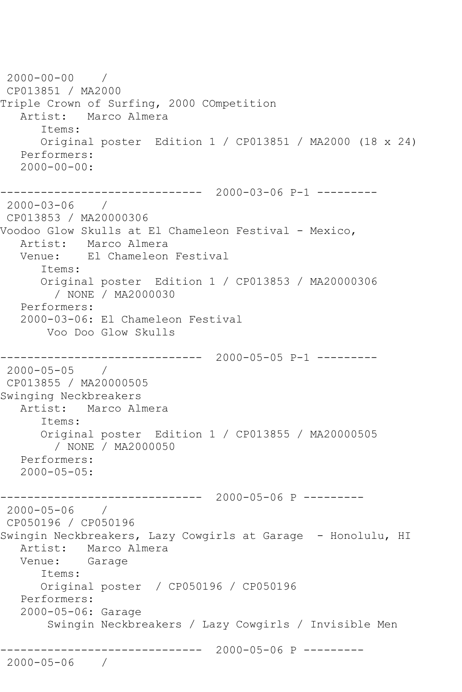```
2000-00-00 / 
CP013851 / MA2000
Triple Crown of Surfing, 2000 COmpetition
   Artist: Marco Almera
       Items:
       Original poster Edition 1 / CP013851 / MA2000 (18 x 24)
   Performers:
  2000 - 00 - 00:------------------------------ 2000-03-06 P-1 ---------
2000-03-06 / 
CP013853 / MA20000306
Voodoo Glow Skulls at El Chameleon Festival - Mexico,
   Artist: Marco Almera
   Venue: El Chameleon Festival
       Items:
       Original poster Edition 1 / CP013853 / MA20000306
         / NONE / MA2000030
   Performers:
   2000-03-06: El Chameleon Festival
        Voo Doo Glow Skulls
                     ------------------------------ 2000-05-05 P-1 ---------
2000-05-05 / 
CP013855 / MA20000505
Swinging Neckbreakers
   Artist: Marco Almera
       Items:
      Original poster Edition 1 / CP013855 / MA20000505
         / NONE / MA2000050
   Performers:
   2000-05-05:
------------------------------ 2000-05-06 P ---------
2000-05-06 / 
CP050196 / CP050196
Swingin Neckbreakers, Lazy Cowgirls at Garage - Honolulu, HI
   Artist: Marco Almera
   Venue: Garage
       Items:
      Original poster / CP050196 / CP050196
   Performers:
   2000-05-06: Garage
        Swingin Neckbreakers / Lazy Cowgirls / Invisible Men
------------------------------ 2000-05-06 P ---------
2000-05-06 /
```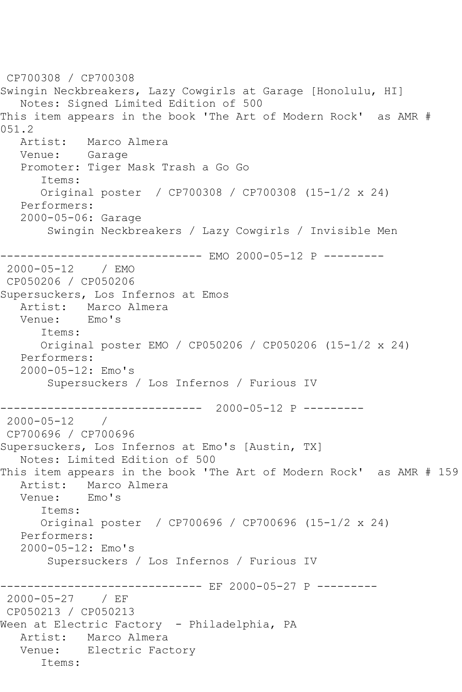CP700308 / CP700308 Swingin Neckbreakers, Lazy Cowgirls at Garage [Honolulu, HI] Notes: Signed Limited Edition of 500 This item appears in the book 'The Art of Modern Rock' as AMR #  $051.2$ <br>Artist: Marco Almera Venue: Garage Promoter: Tiger Mask Trash a Go Go Items: Original poster / CP700308 / CP700308 (15-1/2 x 24) Performers: 2000-05-06: Garage Swingin Neckbreakers / Lazy Cowgirls / Invisible Men ------------- EMO 2000-05-12 P ---------2000-05-12 / EMO CP050206 / CP050206 Supersuckers, Los Infernos at Emos Artist: Marco Almera<br>Venue: Emo's Venue: Items: Original poster EMO / CP050206 / CP050206 (15-1/2 x 24) Performers: 2000-05-12: Emo's Supersuckers / Los Infernos / Furious IV ------------------------------ 2000-05-12 P --------- 2000-05-12 / CP700696 / CP700696 Supersuckers, Los Infernos at Emo's [Austin, TX] Notes: Limited Edition of 500 This item appears in the book 'The Art of Modern Rock' as AMR # 159 Artist: Marco Almera<br>Venue: Emo's Venue: Items: Original poster / CP700696 / CP700696 (15-1/2 x 24) Performers: 2000-05-12: Emo's Supersuckers / Los Infernos / Furious IV ---------------- EF 2000-05-27 P ----------<br>/ EF  $2000 - 05 - 27$ CP050213 / CP050213 Ween at Electric Factory - Philadelphia, PA Artist: Marco Almera Venue: Electric Factory Items: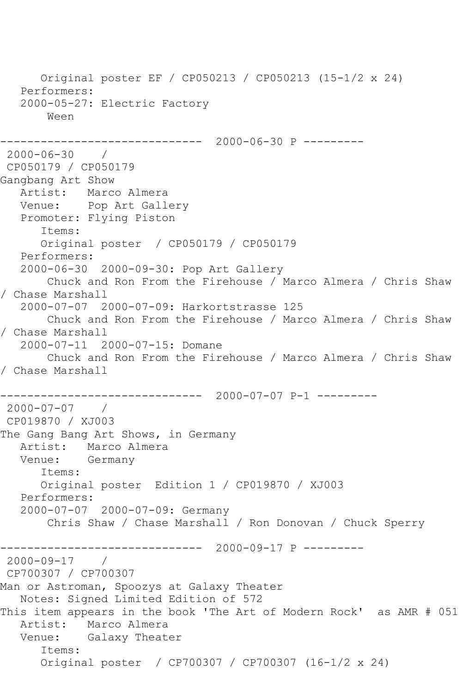Original poster EF / CP050213 / CP050213 (15-1/2 x 24) Performers: 2000-05-27: Electric Factory Ween ------------ 2000-06-30 P ---------2000-06-30 / CP050179 / CP050179 Gangbang Art Show Artist: Marco Almera Venue: Pop Art Gallery Promoter: Flying Piston Items: Original poster / CP050179 / CP050179 Performers: 2000-06-30 2000-09-30: Pop Art Gallery Chuck and Ron From the Firehouse / Marco Almera / Chris Shaw / Chase Marshall 2000-07-07 2000-07-09: Harkortstrasse 125 Chuck and Ron From the Firehouse / Marco Almera / Chris Shaw / Chase Marshall 2000-07-11 2000-07-15: Domane Chuck and Ron From the Firehouse / Marco Almera / Chris Shaw / Chase Marshall ------------------------------ 2000-07-07 P-1 --------- 2000-07-07 / CP019870 / XJ003 The Gang Bang Art Shows, in Germany Artist: Marco Almera Venue: Germany Items: Original poster Edition 1 / CP019870 / XJ003 Performers: 2000-07-07 2000-07-09: Germany Chris Shaw / Chase Marshall / Ron Donovan / Chuck Sperry ------------------------------ 2000-09-17 P --------- 2000-09-17 / CP700307 / CP700307 Man or Astroman, Spoozys at Galaxy Theater Notes: Signed Limited Edition of 572 This item appears in the book 'The Art of Modern Rock' as AMR # 051 Artist: Marco Almera Venue: Galaxy Theater Items: Original poster / CP700307 / CP700307 (16-1/2 x 24)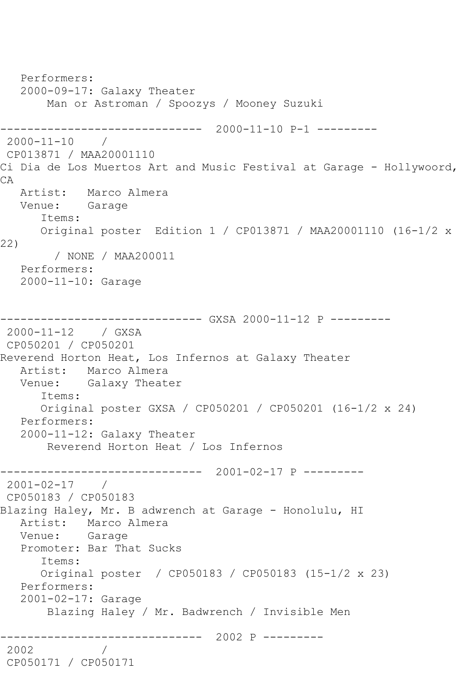```
 Performers:
   2000-09-17: Galaxy Theater
       Man or Astroman / Spoozys / Mooney Suzuki
------------------------------ 2000-11-10 P-1 ---------
2000-11-10 / 
CP013871 / MAA20001110
Ci Dia de Los Muertos Art and Music Festival at Garage - Hollywoord, 
CA
   Artist: Marco Almera
   Venue: Garage
      Items:
      Original poster Edition 1 / CP013871 / MAA20001110 (16-1/2 x 
22)
        / NONE / MAA200011
   Performers:
   2000-11-10: Garage
------------------------------ GXSA 2000-11-12 P ---------
2000-11-12 / GXSA 
CP050201 / CP050201
Reverend Horton Heat, Los Infernos at Galaxy Theater
   Artist: Marco Almera
   Venue: Galaxy Theater
      Items:
      Original poster GXSA / CP050201 / CP050201 (16-1/2 x 24)
   Performers:
   2000-11-12: Galaxy Theater
       Reverend Horton Heat / Los Infernos
    ------------------------------ 2001-02-17 P ---------
2001-02-17 / 
CP050183 / CP050183
Blazing Haley, Mr. B adwrench at Garage - Honolulu, HI
   Artist: Marco Almera
   Venue: Garage
   Promoter: Bar That Sucks
      Items:
      Original poster / CP050183 / CP050183 (15-1/2 x 23)
   Performers:
   2001-02-17: Garage
       Blazing Haley / Mr. Badwrench / Invisible Men
    ------------------------------ 2002 P ---------
2002 / 
CP050171 / CP050171
```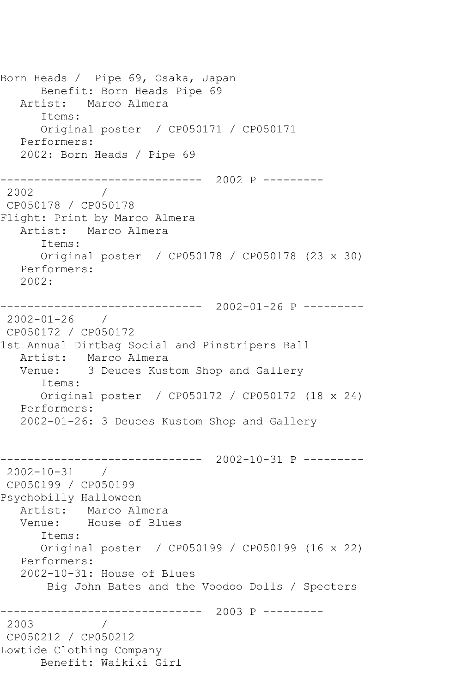Born Heads / Pipe 69, Osaka, Japan Benefit: Born Heads Pipe 69 Artist: Marco Almera Items: Original poster / CP050171 / CP050171 Performers: 2002: Born Heads / Pipe 69 ------------------------------ 2002 P --------- 2002 / CP050178 / CP050178 Flight: Print by Marco Almera Artist: Marco Almera Items: Original poster / CP050178 / CP050178 (23 x 30) Performers: 2002: ------------------------------ 2002-01-26 P --------- 2002-01-26 / CP050172 / CP050172 1st Annual Dirtbag Social and Pinstripers Ball Artist: Marco Almera Venue: 3 Deuces Kustom Shop and Gallery Items: Original poster / CP050172 / CP050172 (18 x 24) Performers: 2002-01-26: 3 Deuces Kustom Shop and Gallery ------------------------------ 2002-10-31 P --------- 2002-10-31 / CP050199 / CP050199 Psychobilly Halloween Artist: Marco Almera Venue: House of Blues Items: Original poster / CP050199 / CP050199 (16 x 22) Performers: 2002-10-31: House of Blues Big John Bates and the Voodoo Dolls / Specters ------------------------------ 2003 P --------- 2003 / CP050212 / CP050212 Lowtide Clothing Company Benefit: Waikiki Girl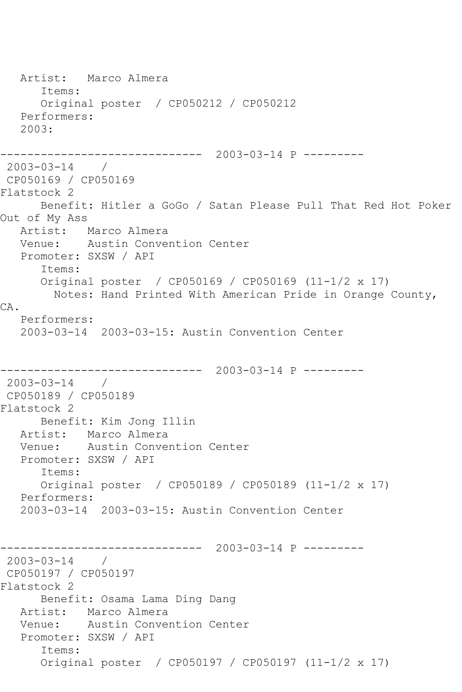Artist: Marco Almera Items: Original poster / CP050212 / CP050212 Performers: 2003: ------------------------------ 2003-03-14 P --------- 2003-03-14 / CP050169 / CP050169 Flatstock 2 Benefit: Hitler a GoGo / Satan Please Pull That Red Hot Poker Out of My Ass Artist: Marco Almera Venue: Austin Convention Center Promoter: SXSW / API Items: Original poster / CP050169 / CP050169 (11-1/2 x 17) Notes: Hand Printed With American Pride in Orange County, CA. Performers: 2003-03-14 2003-03-15: Austin Convention Center ------------------------------ 2003-03-14 P --------- 2003-03-14 / CP050189 / CP050189 Flatstock 2 Benefit: Kim Jong Illin Artist: Marco Almera Venue: Austin Convention Center Promoter: SXSW / API Items: Original poster / CP050189 / CP050189 (11-1/2 x 17) Performers: 2003-03-14 2003-03-15: Austin Convention Center ------------------------------ 2003-03-14 P --------- 2003-03-14 / CP050197 / CP050197 Flatstock 2 Benefit: Osama Lama Ding Dang Artist: Marco Almera Venue: Austin Convention Center Promoter: SXSW / API Items: Original poster / CP050197 / CP050197 (11-1/2 x 17)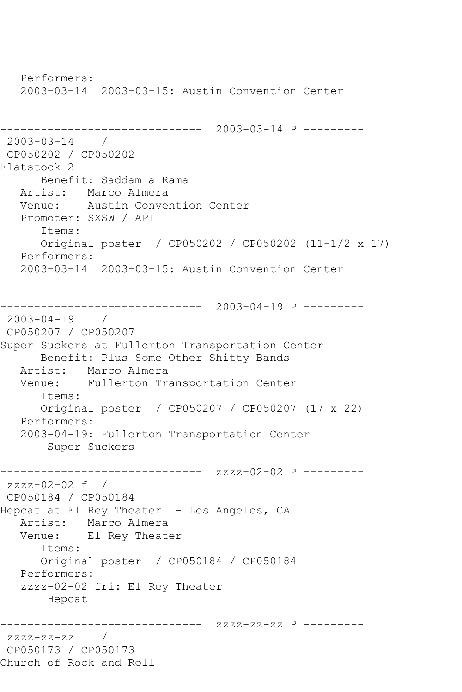Performers: 2003-03-14 2003-03-15: Austin Convention Center ------------------------------ 2003-03-14 P --------- 2003-03-14 / CP050202 / CP050202 Flatstock 2 Benefit: Saddam a Rama Artist: Marco Almera Venue: Austin Convention Center Promoter: SXSW / API Items: Original poster / CP050202 / CP050202 (11-1/2 x 17) Performers: 2003-03-14 2003-03-15: Austin Convention Center ------------------------------ 2003-04-19 P --------- 2003-04-19 / CP050207 / CP050207 Super Suckers at Fullerton Transportation Center Benefit: Plus Some Other Shitty Bands Artist: Marco Almera Venue: Fullerton Transportation Center Items: Original poster / CP050207 / CP050207 (17 x 22) Performers: 2003-04-19: Fullerton Transportation Center Super Suckers ------------------------------ zzzz-02-02 P -------- zzzz-02-02 f / CP050184 / CP050184 Hepcat at El Rey Theater - Los Angeles, CA Artist: Marco Almera Venue: El Rey Theater Items: Original poster / CP050184 / CP050184 Performers: zzzz-02-02 fri: El Rey Theater Hepcat ------------------------------ zzzz-zz-zz P -------- zzzz-zz-zz / CP050173 / CP050173 Church of Rock and Roll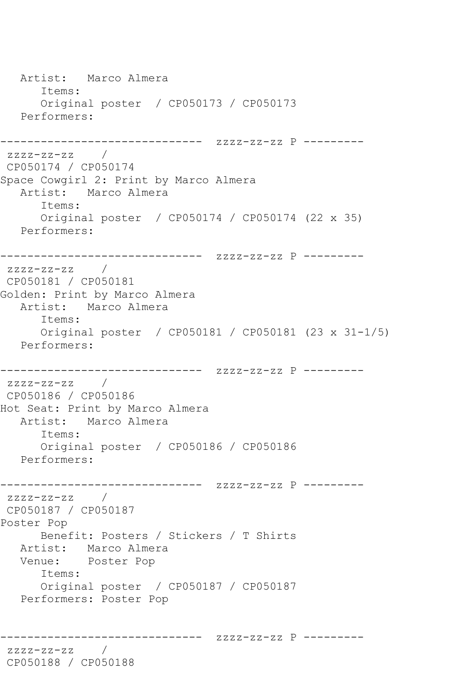Artist: Marco Almera Items: Original poster / CP050173 / CP050173 Performers: ------------------------------ zzzz-zz-zz P -------- zzzz-zz-zz / CP050174 / CP050174 Space Cowgirl 2: Print by Marco Almera Artist: Marco Almera Items: Original poster / CP050174 / CP050174 (22 x 35) Performers: ------------------------------ zzzz-zz-zz P --------  $zzzz-zz-zz$  / CP050181 / CP050181 Golden: Print by Marco Almera Artist: Marco Almera Items: Original poster / CP050181 / CP050181 (23 x 31-1/5) Performers: ------------------------------ zzzz-zz-zz P -------- zzzz-zz-zz / CP050186 / CP050186 Hot Seat: Print by Marco Almera Artist: Marco Almera Items: Original poster / CP050186 / CP050186 Performers: ------------------------------ zzzz-zz-zz P ---------  $ZZZ-ZZ-ZZ$ CP050187 / CP050187 Poster Pop Benefit: Posters / Stickers / T Shirts Artist: Marco Almera Venue: Poster Pop Items: Original poster / CP050187 / CP050187 Performers: Poster Pop ------------------------------ zzzz-zz-zz P -------- zzzz-zz-zz / CP050188 / CP050188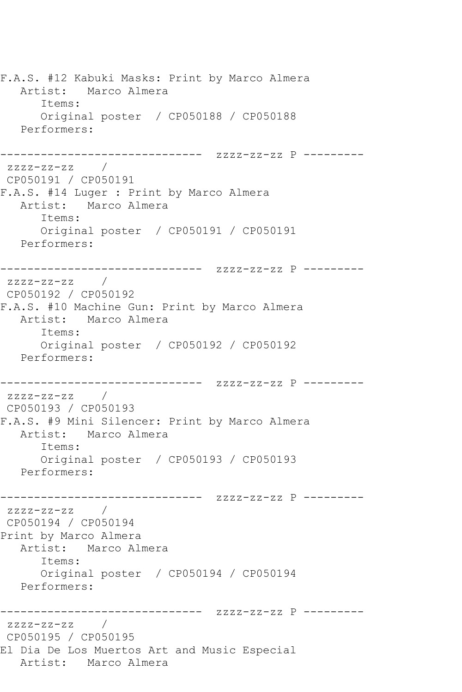F.A.S. #12 Kabuki Masks: Print by Marco Almera Artist: Marco Almera Items: Original poster / CP050188 / CP050188 Performers: ------------------------------ zzzz-zz-zz P -------- zzzz-zz-zz / CP050191 / CP050191 F.A.S. #14 Luger : Print by Marco Almera Artist: Marco Almera Items: Original poster / CP050191 / CP050191 Performers: ------------------------------ zzzz-zz-zz P -------- zzzz-zz-zz / CP050192 / CP050192 F.A.S. #10 Machine Gun: Print by Marco Almera Artist: Marco Almera Items: Original poster / CP050192 / CP050192 Performers: ------------------------------ zzzz-zz-zz P --------  $zzzz-zz-zz$  / CP050193 / CP050193 F.A.S. #9 Mini Silencer: Print by Marco Almera Artist: Marco Almera Items: Original poster / CP050193 / CP050193 Performers: ------------------------------ zzzz-zz-zz P -------- zzzz-zz-zz / CP050194 / CP050194 Print by Marco Almera Artist: Marco Almera Items: Original poster / CP050194 / CP050194 Performers: ------------------------------ zzzz-zz-zz P -------- zzzz-zz-zz / CP050195 / CP050195 El Dia De Los Muertos Art and Music Especial Artist: Marco Almera